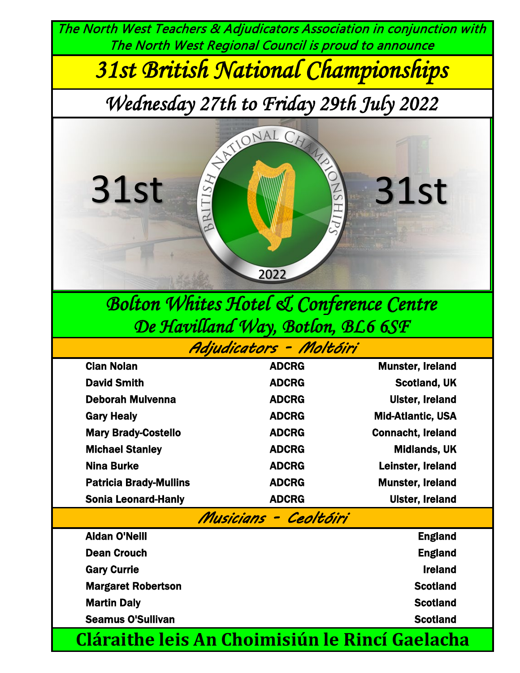The North West Teachers & Adjudicators Association in conjunction with The North West Regional Council is proud to announce

*31st British National Championships*

*Wednesday 27th to Friday 29th July 2022*



# *Bolton Whites Hotel & Conference Centre De Havilland Way, Botlon, BL6 6SF*

*Adjudicators - Moltóiri*

| <b>Cian Nolan</b>                                     | <b>ADCRG</b>   | <b>Munster, Ireland</b>  |  |  |  |  |
|-------------------------------------------------------|----------------|--------------------------|--|--|--|--|
| <b>David Smith</b>                                    | <b>ADCRG</b>   | <b>Scotland, UK</b>      |  |  |  |  |
| <b>Deborah Mulvenna</b>                               | <b>ADCRG</b>   | <b>Ulster, Ireland</b>   |  |  |  |  |
| <b>Gary Healy</b>                                     | <b>ADCRG</b>   | <b>Mid-Atlantic, USA</b> |  |  |  |  |
| <b>Mary Brady-Costello</b>                            | <b>ADCRG</b>   | <b>Connacht, Ireland</b> |  |  |  |  |
| <b>Michael Stanley</b>                                | <b>ADCRG</b>   | <b>Midlands, UK</b>      |  |  |  |  |
| <b>Nina Burke</b>                                     | <b>ADCRG</b>   | Leinster, Ireland        |  |  |  |  |
| <b>Patricia Brady-Mullins</b>                         | <b>ADCRG</b>   | <b>Munster, Ireland</b>  |  |  |  |  |
| <b>Sonia Leonard-Hanly</b>                            | <b>ADCRG</b>   | <b>Ulster, Ireland</b>   |  |  |  |  |
| Musicians - Ceoltóiri                                 |                |                          |  |  |  |  |
| <b>Aidan O'Neill</b>                                  | <b>England</b> |                          |  |  |  |  |
| <b>Dean Crouch</b>                                    | <b>England</b> |                          |  |  |  |  |
| <b>Gary Currie</b>                                    |                | <b>Ireland</b>           |  |  |  |  |
| <b>Margaret Robertson</b>                             |                | <b>Scotland</b>          |  |  |  |  |
| <b>Martin Daly</b>                                    |                | <b>Scotland</b>          |  |  |  |  |
| <b>Seamus O'Sullivan</b>                              |                | <b>Scotland</b>          |  |  |  |  |
| <b>Cláraithe leis An Choimisiún le Rincí Gaelacha</b> |                |                          |  |  |  |  |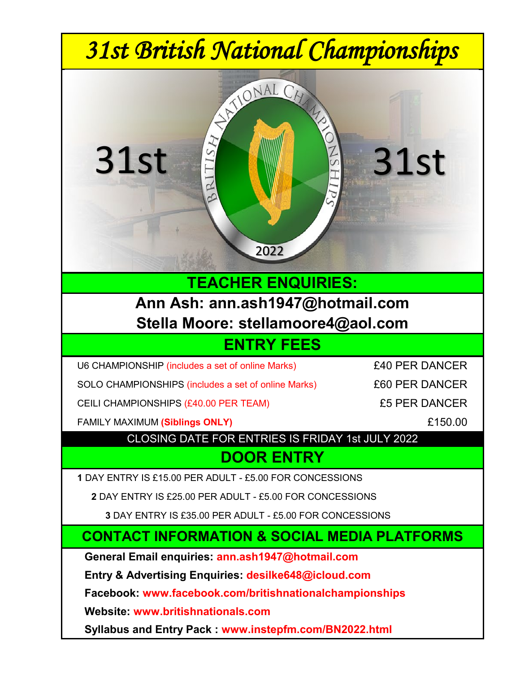

**Website: www.britishnationals.com**

**Syllabus and Entry Pack : www.instepfm.com/BN2022.html**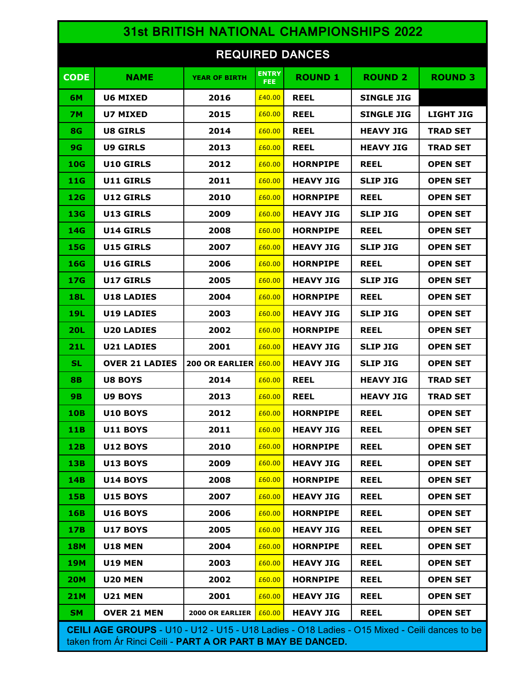| <b>31st BRITISH NATIONAL CHAMPIONSHIPS 2022</b>                                                                                                                     |                       |                              |                      |                  |                   |                  |  |
|---------------------------------------------------------------------------------------------------------------------------------------------------------------------|-----------------------|------------------------------|----------------------|------------------|-------------------|------------------|--|
| <b>REQUIRED DANCES</b>                                                                                                                                              |                       |                              |                      |                  |                   |                  |  |
| <b>CODE</b>                                                                                                                                                         | <b>NAME</b>           | <b>YEAR OF BIRTH</b>         | <b>ENTRY</b><br>FEE: | <b>ROUND 1</b>   | <b>ROUND 2</b>    | <b>ROUND 3</b>   |  |
| 6M                                                                                                                                                                  | <b>U6 MIXED</b>       | 2016                         | £40.00               | <b>REEL</b>      | <b>SINGLE JIG</b> |                  |  |
| <b>7M</b>                                                                                                                                                           | U7 MIXED              | 2015                         | £60.00               | <b>REEL</b>      | <b>SINGLE JIG</b> | <b>LIGHT JIG</b> |  |
| <b>8G</b>                                                                                                                                                           | <b>U8 GIRLS</b>       | 2014                         | £60.00               | <b>REEL</b>      | <b>HEAVY JIG</b>  | <b>TRAD SET</b>  |  |
| 9G                                                                                                                                                                  | <b>U9 GIRLS</b>       | 2013                         | £60.00               | <b>REEL</b>      | <b>HEAVY JIG</b>  | <b>TRAD SET</b>  |  |
| 10G                                                                                                                                                                 | <b>U10 GIRLS</b>      | 2012                         | £60.00               | <b>HORNPIPE</b>  | <b>REEL</b>       | <b>OPEN SET</b>  |  |
| 11G                                                                                                                                                                 | <b>U11 GIRLS</b>      | 2011                         | £60.00               | <b>HEAVY JIG</b> | <b>SLIP JIG</b>   | <b>OPEN SET</b>  |  |
| 12G                                                                                                                                                                 | U12 GIRLS             | 2010                         | £60.00               | <b>HORNPIPE</b>  | <b>REEL</b>       | <b>OPEN SET</b>  |  |
| 13G                                                                                                                                                                 | U13 GIRLS             | 2009                         | £60.00               | <b>HEAVY JIG</b> | <b>SLIP JIG</b>   | <b>OPEN SET</b>  |  |
| 14G                                                                                                                                                                 | U14 GIRLS             | 2008                         | £60.00               | <b>HORNPIPE</b>  | <b>REEL</b>       | <b>OPEN SET</b>  |  |
| 15G                                                                                                                                                                 | U15 GIRLS             | 2007                         | £60.00               | <b>HEAVY JIG</b> | <b>SLIP JIG</b>   | <b>OPEN SET</b>  |  |
| 16G                                                                                                                                                                 | U16 GIRLS             | 2006                         | £60.00               | <b>HORNPIPE</b>  | <b>REEL</b>       | <b>OPEN SET</b>  |  |
| 17G                                                                                                                                                                 | U17 GIRLS             | 2005                         | £60.00               | <b>HEAVY JIG</b> | <b>SLIP JIG</b>   | <b>OPEN SET</b>  |  |
| <b>18L</b>                                                                                                                                                          | U18 LADIES            | 2004                         | £60.00               | <b>HORNPIPE</b>  | <b>REEL</b>       | <b>OPEN SET</b>  |  |
| 19L                                                                                                                                                                 | <b>U19 LADIES</b>     | 2003                         | £60.00               | <b>HEAVY JIG</b> | <b>SLIP JIG</b>   | <b>OPEN SET</b>  |  |
| <b>20L</b>                                                                                                                                                          | <b>U20 LADIES</b>     | 2002                         | £60.00               | <b>HORNPIPE</b>  | <b>REEL</b>       | <b>OPEN SET</b>  |  |
| 21L                                                                                                                                                                 | <b>U21 LADIES</b>     | 2001                         | £60.00               | <b>HEAVY JIG</b> | <b>SLIP JIG</b>   | <b>OPEN SET</b>  |  |
| <b>SL</b>                                                                                                                                                           | <b>OVER 21 LADIES</b> | <b>200 OR EARLIER £60.00</b> |                      | <b>HEAVY JIG</b> | <b>SLIP JIG</b>   | <b>OPEN SET</b>  |  |
| 8B                                                                                                                                                                  | <b>U8 BOYS</b>        | 2014                         | £60.00               | <b>REEL</b>      | <b>HEAVY JIG</b>  | <b>TRAD SET</b>  |  |
| 9B                                                                                                                                                                  | U9 BOYS               | 2013                         | £60.00               | <b>REEL</b>      | <b>HEAVY JIG</b>  | TRAD SET         |  |
| <b>10B</b>                                                                                                                                                          | <b>U10 BOYS</b>       | 2012                         | £60.00               | <b>HORNPIPE</b>  | <b>REEL</b>       | <b>OPEN SET</b>  |  |
| 11B                                                                                                                                                                 | <b>U11 BOYS</b>       | 2011                         | £60.00               | <b>HEAVY JIG</b> | <b>REEL</b>       | <b>OPEN SET</b>  |  |
| 12B                                                                                                                                                                 | <b>U12 BOYS</b>       | 2010                         | £60.00               | <b>HORNPIPE</b>  | <b>REEL</b>       | <b>OPEN SET</b>  |  |
| 13B                                                                                                                                                                 | <b>U13 BOYS</b>       | 2009                         | £60.00               | <b>HEAVY JIG</b> | <b>REEL</b>       | <b>OPEN SET</b>  |  |
| 14B                                                                                                                                                                 | <b>U14 BOYS</b>       | 2008                         | £60.00               | <b>HORNPIPE</b>  | <b>REEL</b>       | <b>OPEN SET</b>  |  |
| 15B                                                                                                                                                                 | <b>U15 BOYS</b>       | 2007                         | £60.00               | <b>HEAVY JIG</b> | <b>REEL</b>       | <b>OPEN SET</b>  |  |
| 16B                                                                                                                                                                 | <b>U16 BOYS</b>       | 2006                         | £60.00               | <b>HORNPIPE</b>  | <b>REEL</b>       | <b>OPEN SET</b>  |  |
| 17B                                                                                                                                                                 | <b>U17 BOYS</b>       | 2005                         | £60.00               | <b>HEAVY JIG</b> | <b>REEL</b>       | <b>OPEN SET</b>  |  |
| <b>18M</b>                                                                                                                                                          | <b>U18 MEN</b>        | 2004                         | £60.00               | <b>HORNPIPE</b>  | <b>REEL</b>       | <b>OPEN SET</b>  |  |
| <b>19M</b>                                                                                                                                                          | <b>U19 MEN</b>        | 2003                         | £60.00               | <b>HEAVY JIG</b> | <b>REEL</b>       | <b>OPEN SET</b>  |  |
| <b>20M</b>                                                                                                                                                          | <b>U20 MEN</b>        | 2002                         | £60.00               | <b>HORNPIPE</b>  | <b>REEL</b>       | <b>OPEN SET</b>  |  |
| <b>21M</b>                                                                                                                                                          | <b>U21 MEN</b>        | 2001                         | £60.00               | <b>HEAVY JIG</b> | <b>REEL</b>       | <b>OPEN SET</b>  |  |
| SM.                                                                                                                                                                 | <b>OVER 21 MEN</b>    | <b>2000 OR EARLIER</b>       | £60.00               | <b>HEAVY JIG</b> | <b>REEL</b>       | <b>OPEN SET</b>  |  |
| <b>CEILI AGE GROUPS</b> - U10 - U12 - U15 - U18 Ladies - O18 Ladies - O15 Mixed - Ceili dances to be<br>taken from Ar Rinci Ceili - PART A OR PART B MAY BE DANCED. |                       |                              |                      |                  |                   |                  |  |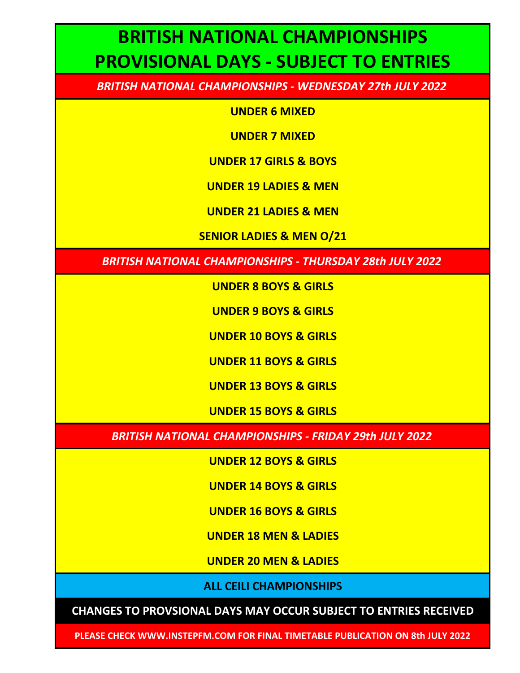## **BRITISH NATIONAL CHAMPIONSHIPS PROVISIONAL DAYS - SUBJECT TO ENTRIES**

*BRITISH NATIONAL CHAMPIONSHIPS - WEDNESDAY 27th JULY 2022*

**UNDER 6 MIXED**

**UNDER 7 MIXED**

**UNDER 17 GIRLS & BOYS**

**UNDER 19 LADIES & MEN**

**UNDER 21 LADIES & MEN**

**SENIOR LADIES & MEN O/21**

*BRITISH NATIONAL CHAMPIONSHIPS - THURSDAY 28th JULY 2022*

**UNDER 8 BOYS & GIRLS**

**UNDER 9 BOYS & GIRLS**

**UNDER 10 BOYS & GIRLS**

**UNDER 11 BOYS & GIRLS**

**UNDER 13 BOYS & GIRLS**

**UNDER 15 BOYS & GIRLS**

*BRITISH NATIONAL CHAMPIONSHIPS - FRIDAY 29th JULY 2022*

**UNDER 12 BOYS & GIRLS**

**UNDER 14 BOYS & GIRLS**

**UNDER 16 BOYS & GIRLS**

**UNDER 18 MEN & LADIES**

**UNDER 20 MEN & LADIES**

**ALL CEILI CHAMPIONSHIPS**

**CHANGES TO PROVSIONAL DAYS MAY OCCUR SUBJECT TO ENTRIES RECEIVED**

**PLEASE CHECK WWW.INSTEPFM.COM FOR FINAL TIMETABLE PUBLICATION ON 8th JULY 2022**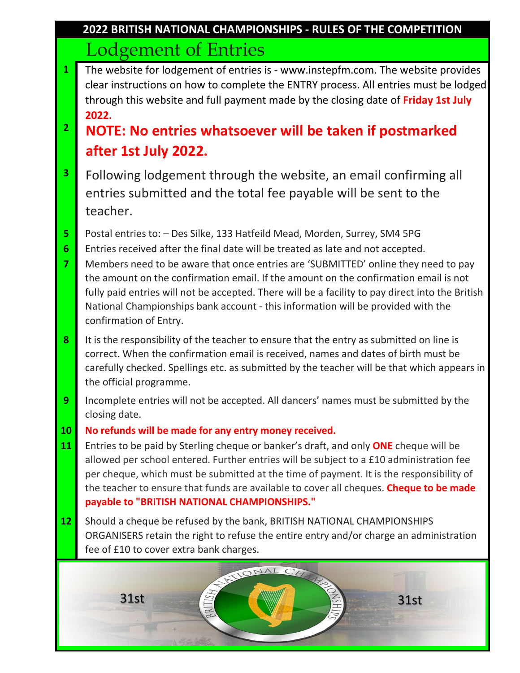### Lodgement of Entries **2022 BRITISH NATIONAL CHAMPIONSHIPS - RULES OF THE COMPETITION**

**1** The website for lodgement of entries is - www.instepfm.com. The website provides clear instructions on how to complete the ENTRY process. All entries must be lodged through this website and full payment made by the closing date of **Friday 1st July 2022.**

## **<sup>2</sup> NOTE: No entries whatsoever will be taken if postmarked after 1st July 2022.**

- **3** Following lodgement through the website, an email confirming all entries submitted and the total fee payable will be sent to the teacher.
- **5** Postal entries to: Des Silke, 133 Hatfeild Mead, Morden, Surrey, SM4 5PG
- **6** Entries received after the final date will be treated as late and not accepted.
- **7** Members need to be aware that once entries are 'SUBMITTED' online they need to pay the amount on the confirmation email. If the amount on the confirmation email is not fully paid entries will not be accepted. There will be a facility to pay direct into the British National Championships bank account - this information will be provided with the confirmation of Entry.
- **8** It is the responsibility of the teacher to ensure that the entry as submitted on line is correct. When the confirmation email is received, names and dates of birth must be carefully checked. Spellings etc. as submitted by the teacher will be that which appears in the official programme.
- **9** Incomplete entries will not be accepted. All dancers' names must be submitted by the closing date.
- **10 No refunds will be made for any entry money received.**
- **11** Entries to be paid by Sterling cheque or banker's draft, and only **ONE** cheque will be allowed per school entered. Further entries will be subject to a £10 administration fee per cheque, which must be submitted at the time of payment. It is the responsibility of the teacher to ensure that funds are available to cover all cheques. **Cheque to be made payable to "BRITISH NATIONAL CHAMPIONSHIPS."**
- **12** Should a cheque be refused by the bank, BRITISH NATIONAL CHAMPIONSHIPS ORGANISERS retain the right to refuse the entire entry and/or charge an administration fee of £10 to cover extra bank charges.

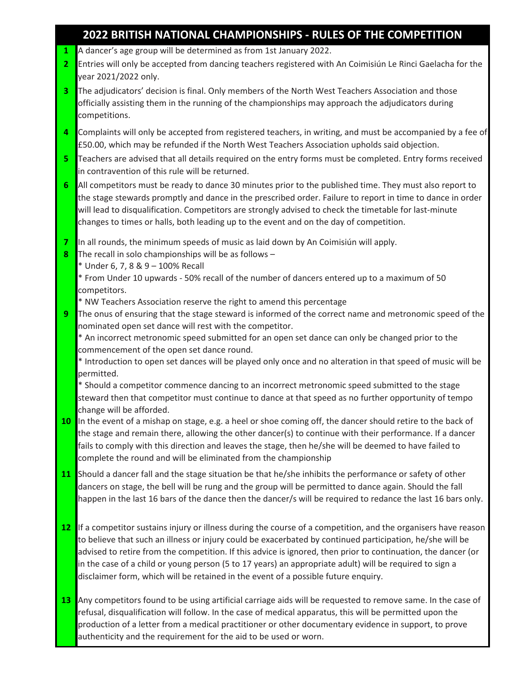### **2022 BRITISH NATIONAL CHAMPIONSHIPS - RULES OF THE COMPETITION**

- **1** A dancer's age group will be determined as from 1st January 2022.
- **2** Entries will only be accepted from dancing teachers registered with An Coimisiún Le Rinci Gaelacha for the year 2021/2022 only.
- **3** The adjudicators' decision is final. Only members of the North West Teachers Association and those officially assisting them in the running of the championships may approach the adjudicators during competitions.
- **4** Complaints will only be accepted from registered teachers, in writing, and must be accompanied by a fee of £50.00, which may be refunded if the North West Teachers Association upholds said objection.
- **5** Teachers are advised that all details required on the entry forms must be completed. Entry forms received in contravention of this rule will be returned.
- **6** All competitors must be ready to dance 30 minutes prior to the published time. They must also report to the stage stewards promptly and dance in the prescribed order. Failure to report in time to dance in order will lead to disqualification. Competitors are strongly advised to check the timetable for last-minute changes to times or halls, both leading up to the event and on the day of competition.
- **7** In all rounds, the minimum speeds of music as laid down by An Coimisiún will apply.
- **8** The recall in solo championships will be as follows
	- \* Under 6, 7, 8 & 9 100% Recall
	- \* From Under 10 upwards 50% recall of the number of dancers entered up to a maximum of 50 competitors.

\* NW Teachers Association reserve the right to amend this percentage

**9** The onus of ensuring that the stage steward is informed of the correct name and metronomic speed of the nominated open set dance will rest with the competitor.

\* An incorrect metronomic speed submitted for an open set dance can only be changed prior to the commencement of the open set dance round.

\* Introduction to open set dances will be played only once and no alteration in that speed of music will be permitted.

\* Should a competitor commence dancing to an incorrect metronomic speed submitted to the stage steward then that competitor must continue to dance at that speed as no further opportunity of tempo change will be afforded.

- **10** In the event of a mishap on stage, e.g. a heel or shoe coming off, the dancer should retire to the back of the stage and remain there, allowing the other dancer(s) to continue with their performance. If a dancer fails to comply with this direction and leaves the stage, then he/she will be deemed to have failed to complete the round and will be eliminated from the championship
- **11** Should a dancer fall and the stage situation be that he/she inhibits the performance or safety of other dancers on stage, the bell will be rung and the group will be permitted to dance again. Should the fall happen in the last 16 bars of the dance then the dancer/s will be required to redance the last 16 bars only.
- **12** If a competitor sustains injury or illness during the course of a competition, and the organisers have reason to believe that such an illness or injury could be exacerbated by continued participation, he/she will be advised to retire from the competition. If this advice is ignored, then prior to continuation, the dancer (or in the case of a child or young person (5 to 17 years) an appropriate adult) will be required to sign a disclaimer form, which will be retained in the event of a possible future enquiry.
- **13** Any competitors found to be using artificial carriage aids will be requested to remove same. In the case of refusal, disqualification will follow. In the case of medical apparatus, this will be permitted upon the production of a letter from a medical practitioner or other documentary evidence in support, to prove authenticity and the requirement for the aid to be used or worn.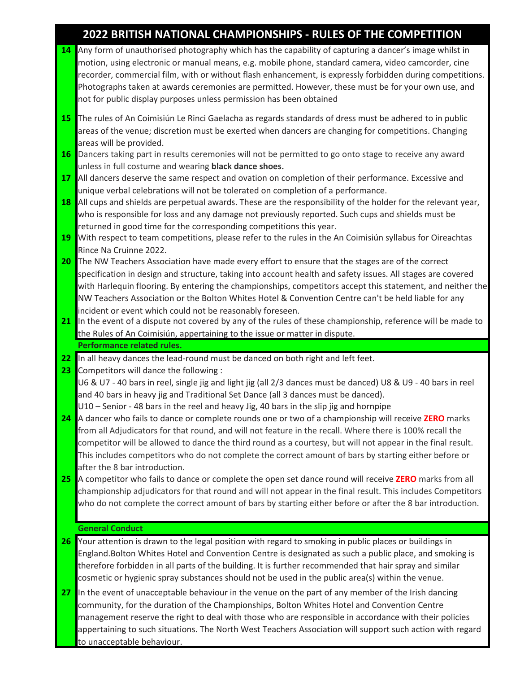### **2022 BRITISH NATIONAL CHAMPIONSHIPS - RULES OF THE COMPETITION**

- **14** Any form of unauthorised photography which has the capability of capturing a dancer's image whilst in motion, using electronic or manual means, e.g. mobile phone, standard camera, video camcorder, cine recorder, commercial film, with or without flash enhancement, is expressly forbidden during competitions. Photographs taken at awards ceremonies are permitted. However, these must be for your own use, and not for public display purposes unless permission has been obtained
- **15** The rules of An Coimisiún Le Rinci Gaelacha as regards standards of dress must be adhered to in public areas of the venue; discretion must be exerted when dancers are changing for competitions. Changing areas will be provided.
- **16** Dancers taking part in results ceremonies will not be permitted to go onto stage to receive any award unless in full costume and wearing **black dance shoes.**
- **17** All dancers deserve the same respect and ovation on completion of their performance. Excessive and unique verbal celebrations will not be tolerated on completion of a performance.
- **18** All cups and shields are perpetual awards. These are the responsibility of the holder for the relevant year, who is responsible for loss and any damage not previously reported. Such cups and shields must be returned in good time for the corresponding competitions this year.
- **19** With respect to team competitions, please refer to the rules in the An Coimisiún syllabus for Oireachtas Rince Na Cruinne 2022.
- **20** The NW Teachers Association have made every effort to ensure that the stages are of the correct specification in design and structure, taking into account health and safety issues. All stages are covered with Harlequin flooring. By entering the championships, competitors accept this statement, and neither the NW Teachers Association or the Bolton Whites Hotel & Convention Centre can't be held liable for any incident or event which could not be reasonably foreseen.
- **21** In the event of a dispute not covered by any of the rules of these championship, reference will be made to the Rules of An Coimisiún, appertaining to the issue or matter in dispute. **Performance related rules.**
- **22** In all heavy dances the lead-round must be danced on both right and left feet.
- **23** Competitors will dance the following : U6 & U7 - 40 bars in reel, single jig and light jig (all 2/3 dances must be danced) U8 & U9 - 40 bars in reel and 40 bars in heavy jig and Traditional Set Dance (all 3 dances must be danced). U10 – Senior - 48 bars in the reel and heavy Jig, 40 bars in the slip jig and hornpipe
- **24** A dancer who fails to dance or complete rounds one or two of a championship will receive **ZERO** marks from all Adjudicators for that round, and will not feature in the recall. Where there is 100% recall the competitor will be allowed to dance the third round as a courtesy, but will not appear in the final result. This includes competitors who do not complete the correct amount of bars by starting either before or after the 8 bar introduction.
- **25** A competitor who fails to dance or complete the open set dance round will receive **ZERO** marks from all championship adjudicators for that round and will not appear in the final result. This includes Competitors who do not complete the correct amount of bars by starting either before or after the 8 bar introduction.

#### **General Conduct**

- **26** Your attention is drawn to the legal position with regard to smoking in public places or buildings in England.Bolton Whites Hotel and Convention Centre is designated as such a public place, and smoking is therefore forbidden in all parts of the building. It is further recommended that hair spray and similar cosmetic or hygienic spray substances should not be used in the public area(s) within the venue.
- **27** In the event of unacceptable behaviour in the venue on the part of any member of the Irish dancing community, for the duration of the Championships, Bolton Whites Hotel and Convention Centre management reserve the right to deal with those who are responsible in accordance with their policies appertaining to such situations. The North West Teachers Association will support such action with regard to unacceptable behaviour.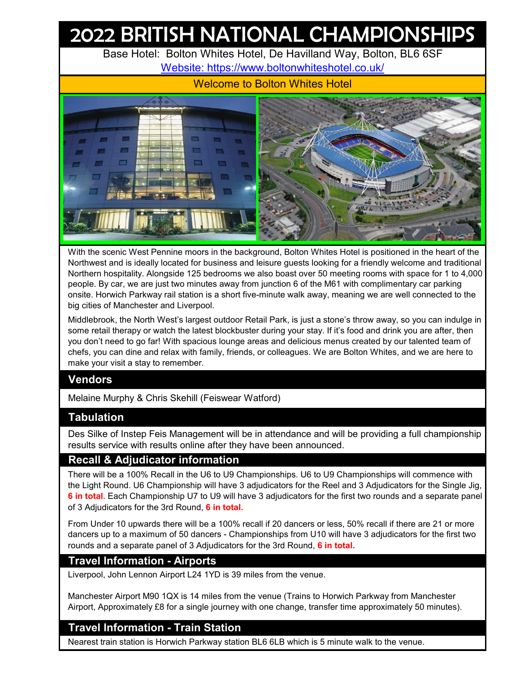# 2022 BRITISH NATIONAL CHAMPIONSHIPS

Base Hotel: Bolton Whites Hotel, De Havilland Way, Bolton, BL6 6SF [W](http://www.boltonwhiteshotel.co.uk/)ebsite: https://www.boltonwhiteshotel.co.uk/

Welcome to Bolton Whites Hotel



With the scenic West Pennine moors in the background, Bolton Whites Hotel is positioned in the heart of the Northwest and is ideally located for business and leisure guests looking for a friendly welcome and traditional Northern hospitality. Alongside 125 bedrooms we also boast over 50 meeting rooms with space for 1 to 4,000 people. By car, we are just two minutes away from junction 6 of the M61 with complimentary car parking onsite. Horwich Parkway rail station is a short five-minute walk away, meaning we are well connected to the big cities of Manchester and Liverpool.

Middlebrook, the North West's largest outdoor Retail Park, is just a stone's throw away, so you can indulge in some retail therapy or watch the latest blockbuster during your stay. If it's food and drink you are after, then you don't need to go far! With spacious lounge areas and delicious menus created by our talented team of chefs, you can dine and relax with family, friends, or colleagues. We are Bolton Whites, and we are here to make your visit a stay to remember.

### **Vendors**

Melaine Murphy & Chris Skehill (Feiswear Watford)

### **Tabulation**

Des Silke of Instep Feis Management will be in attendance and will be providing a full championship results service with results online after they have been announced.

### **Recall & Adjudicator information**

There will be a 100% Recall in the U6 to U9 Championships. U6 to U9 Championships will commence with the Light Round. U6 Championship will have 3 adjudicators for the Reel and 3 Adjudicators for the Single Jig, **6 in total**. Each Championship U7 to U9 will have 3 adjudicators for the first two rounds and a separate panel of 3 Adjudicators for the 3rd Round, **6 in total.**

From Under 10 upwards there will be a 100% recall if 20 dancers or less, 50% recall if there are 21 or more dancers up to a maximum of 50 dancers - Championships from U10 will have 3 adjudicators for the first two rounds and a separate panel of 3 Adjudicators for the 3rd Round, **6 in total.**

### **Travel Information - Airports**

Liverpool, John Lennon Airport L24 1YD is 39 miles from the venue.

Manchester Airport M90 1QX is 14 miles from the venue (Trains to Horwich Parkway from Manchester Airport, Approximately £8 for a single journey with one change, transfer time approximately 50 minutes).

### **Travel Information - Train Station**

Nearest train station is Horwich Parkway station BL6 6LB which is 5 minute walk to the venue.